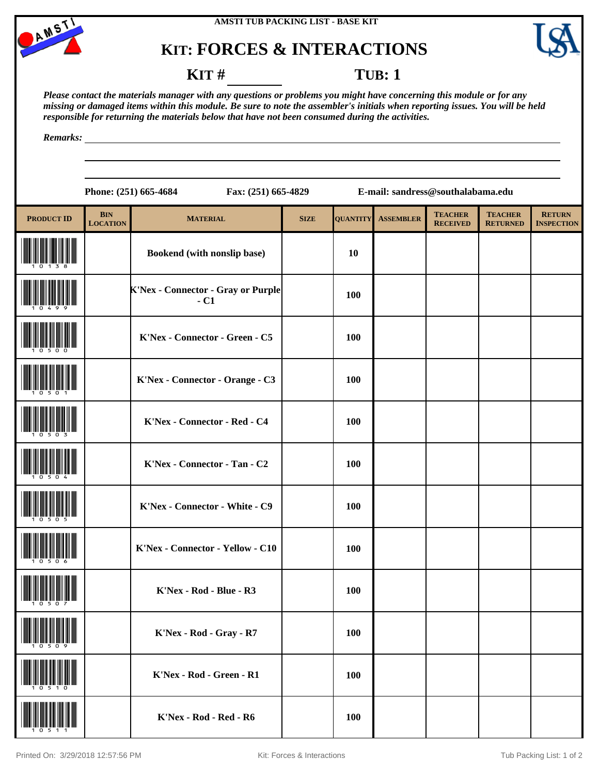



### **KIT: FORCES & INTERACTIONS**



### **KIT** # **TUB**: 1

*Please contact the materials manager with any questions or problems you might have concerning this module or for any missing or damaged items within this module. Be sure to note the assembler's initials when reporting issues. You will be held responsible for returning the materials below that have not been consumed during the activities.*

*Remarks:*

|                   |                               | Phone: (251) 665-4684<br>Fax: (251) 665-4829       | E-mail: sandress@southalabama.edu |                 |                  |                                   |                                   |                                    |  |
|-------------------|-------------------------------|----------------------------------------------------|-----------------------------------|-----------------|------------------|-----------------------------------|-----------------------------------|------------------------------------|--|
| <b>PRODUCT ID</b> | <b>BIN</b><br><b>LOCATION</b> | <b>MATERIAL</b>                                    | <b>SIZE</b>                       | <b>QUANTITY</b> | <b>ASSEMBLER</b> | <b>TEACHER</b><br><b>RECEIVED</b> | <b>TEACHER</b><br><b>RETURNED</b> | <b>RETURN</b><br><b>INSPECTION</b> |  |
|                   |                               | Bookend (with nonslip base)                        |                                   | <b>10</b>       |                  |                                   |                                   |                                    |  |
|                   |                               | <b>K'Nex - Connector - Gray or Purple</b><br>$-C1$ |                                   | 100             |                  |                                   |                                   |                                    |  |
|                   |                               | K'Nex - Connector - Green - C5                     |                                   | 100             |                  |                                   |                                   |                                    |  |
|                   |                               | K'Nex - Connector - Orange - C3                    |                                   | 100             |                  |                                   |                                   |                                    |  |
|                   |                               | K'Nex - Connector - Red - C4                       |                                   | 100             |                  |                                   |                                   |                                    |  |
|                   |                               | K'Nex - Connector - Tan - C2                       |                                   | 100             |                  |                                   |                                   |                                    |  |
|                   |                               | K'Nex - Connector - White - C9                     |                                   | 100             |                  |                                   |                                   |                                    |  |
|                   |                               | K'Nex - Connector - Yellow - C10                   |                                   | 100             |                  |                                   |                                   |                                    |  |
|                   |                               | K'Nex - Rod - Blue - R3                            |                                   | 100             |                  |                                   |                                   |                                    |  |
|                   |                               | K'Nex - Rod - Gray - R7                            |                                   | 100             |                  |                                   |                                   |                                    |  |
|                   |                               | K'Nex - Rod - Green - R1                           |                                   | 100             |                  |                                   |                                   |                                    |  |
|                   |                               | K'Nex - Rod - Red - R6                             |                                   | <b>100</b>      |                  |                                   |                                   |                                    |  |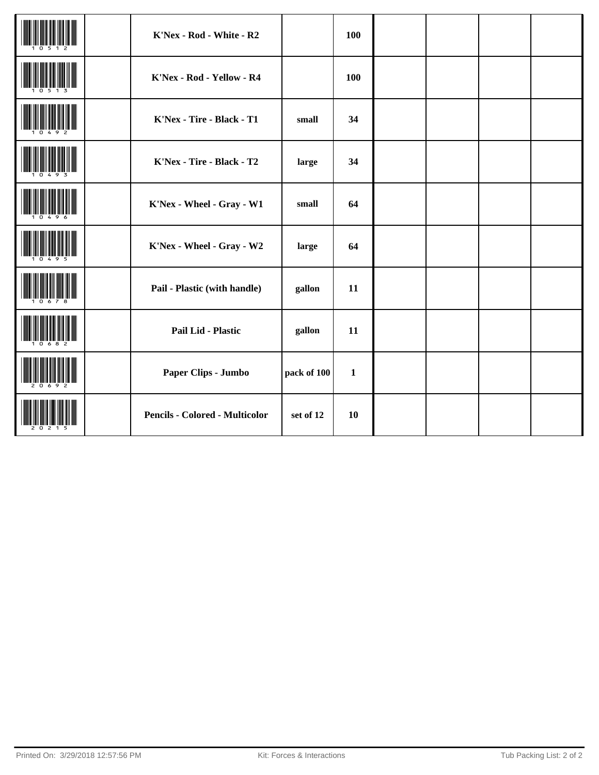|  | K'Nex - Rod - White - R2              |             | 100          |  |  |
|--|---------------------------------------|-------------|--------------|--|--|
|  | K'Nex - Rod - Yellow - R4             |             | 100          |  |  |
|  | K'Nex - Tire - Black - T1             | small       | 34           |  |  |
|  | K'Nex - Tire - Black - T2             | large       | 34           |  |  |
|  | K'Nex - Wheel - Gray - W1             | small       | 64           |  |  |
|  | K'Nex - Wheel - Gray - W2             | large       | 64           |  |  |
|  | Pail - Plastic (with handle)          | gallon      | 11           |  |  |
|  | Pail Lid - Plastic                    | gallon      | 11           |  |  |
|  | Paper Clips - Jumbo                   | pack of 100 | $\mathbf{1}$ |  |  |
|  | <b>Pencils - Colored - Multicolor</b> | set of 12   | 10           |  |  |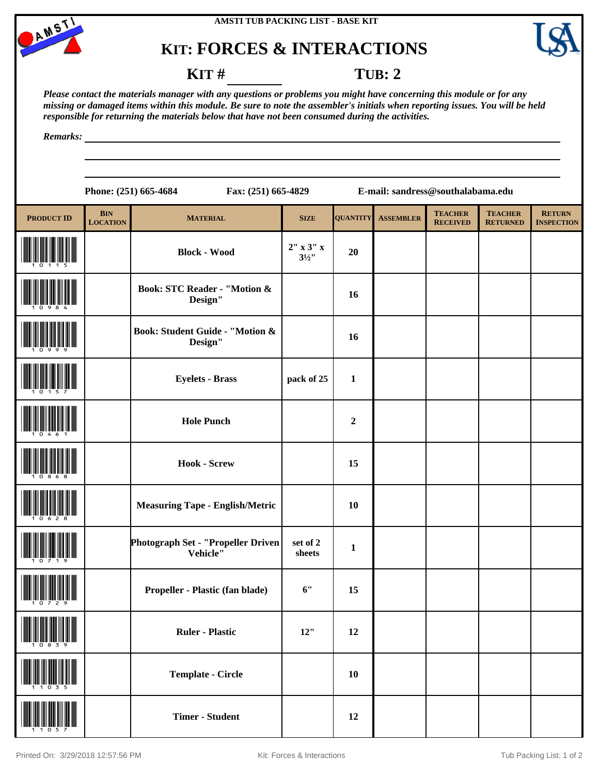

# **KIT: FORCES & INTERACTIONS**



#### **KIT** # **TUB: 2**

*Please contact the materials manager with any questions or problems you might have concerning this module or for any missing or damaged items within this module. Be sure to note the assembler's initials when reporting issues. You will be held responsible for returning the materials below that have not been consumed during the activities.*

*Remarks:*

**Phone: (251) 665-4684 Fax: (251) 665-4829 E-mail: sandress@southalabama.edu**

| <b>PRODUCT ID</b> | <b>BIN</b><br><b>LOCATION</b> | <b>MATERIAL</b>                                    | <b>SIZE</b>            | <b>QUANTITY</b> | <b>ASSEMBLER</b> | <b>TEACHER</b><br><b>RECEIVED</b> | <b>TEACHER</b><br><b>RETURNED</b> | <b>RETURN</b><br><b>INSPECTION</b> |
|-------------------|-------------------------------|----------------------------------------------------|------------------------|-----------------|------------------|-----------------------------------|-----------------------------------|------------------------------------|
|                   |                               | <b>Block - Wood</b>                                | 2" x 3" x<br>$3^{1/2}$ | 20              |                  |                                   |                                   |                                    |
|                   |                               | <b>Book: STC Reader - "Motion &amp;</b><br>Design" |                        | 16              |                  |                                   |                                   |                                    |
|                   |                               | Book: Student Guide - "Motion &<br>Design"         |                        | 16              |                  |                                   |                                   |                                    |
|                   |                               | <b>Eyelets - Brass</b>                             | pack of 25             | $\mathbf{1}$    |                  |                                   |                                   |                                    |
|                   |                               | <b>Hole Punch</b>                                  |                        | $\mathbf 2$     |                  |                                   |                                   |                                    |
|                   |                               | <b>Hook - Screw</b>                                |                        | 15              |                  |                                   |                                   |                                    |
|                   |                               | <b>Measuring Tape - English/Metric</b>             |                        | 10              |                  |                                   |                                   |                                    |
|                   |                               | Photograph Set - "Propeller Driven<br>Vehicle"     | set of 2<br>sheets     | $\mathbf{1}$    |                  |                                   |                                   |                                    |
|                   |                               | Propeller - Plastic (fan blade)                    | 6"                     | 15              |                  |                                   |                                   |                                    |
|                   |                               | <b>Ruler - Plastic</b>                             | $12"$                  | 12              |                  |                                   |                                   |                                    |
|                   |                               | <b>Template - Circle</b>                           |                        | 10              |                  |                                   |                                   |                                    |
|                   |                               | <b>Timer - Student</b>                             |                        | 12              |                  |                                   |                                   |                                    |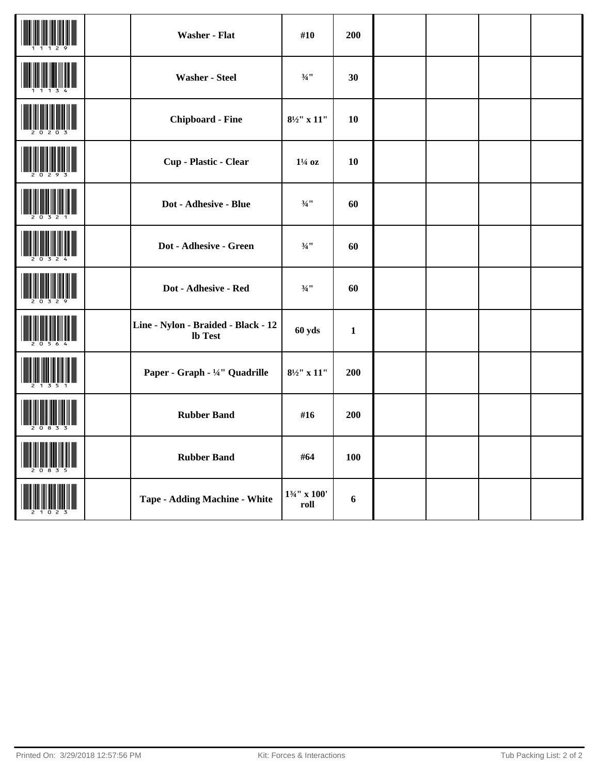|  | <b>Washer - Flat</b>                                  | #10                             | 200          |  |  |
|--|-------------------------------------------------------|---------------------------------|--------------|--|--|
|  | <b>Washer - Steel</b>                                 | $3/4$ <sup>11</sup>             | 30           |  |  |
|  | <b>Chipboard - Fine</b>                               | $8\frac{1}{2}$ x $11$           | 10           |  |  |
|  | Cup - Plastic - Clear                                 | $1\frac{1}{4}$ oz               | 10           |  |  |
|  | Dot - Adhesive - Blue                                 | $3/4$ <sup>11</sup>             | 60           |  |  |
|  | Dot - Adhesive - Green                                | $\frac{3}{4}$ ''                | 60           |  |  |
|  | Dot - Adhesive - Red                                  | $3/4$ <sup>11</sup>             | 60           |  |  |
|  | Line - Nylon - Braided - Black - 12<br><b>lb</b> Test | 60 yds                          | $\mathbf{1}$ |  |  |
|  | Paper - Graph - 1/4" Quadrille                        | $8\frac{1}{2}$ x $11$           | 200          |  |  |
|  | <b>Rubber Band</b>                                    | #16                             | 200          |  |  |
|  | <b>Rubber Band</b>                                    | #64                             | 100          |  |  |
|  | <b>Tape - Adding Machine - White</b>                  | $1\frac{3}{4}$ " x 100'<br>roll | 6            |  |  |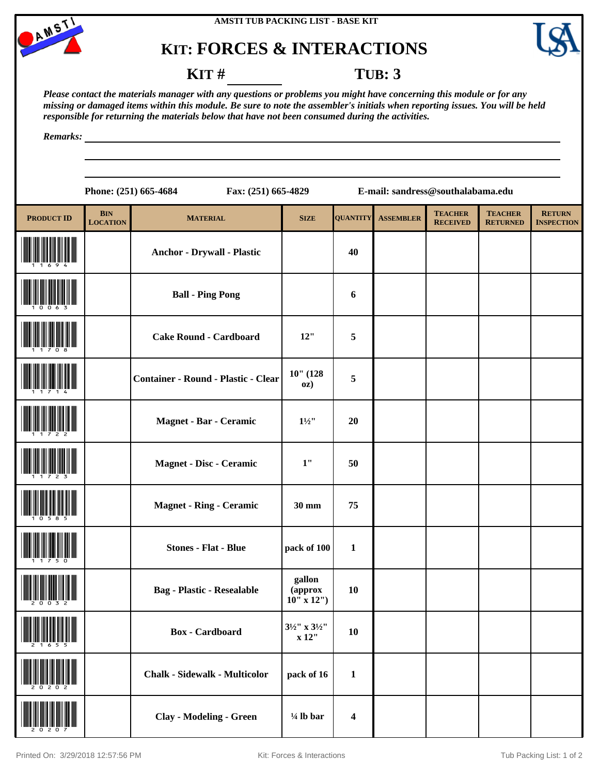

# **KIT: FORCES & INTERACTIONS**



#### **KIT** # **TUB**: 3

*Please contact the materials manager with any questions or problems you might have concerning this module or for any missing or damaged items within this module. Be sure to note the assembler's initials when reporting issues. You will be held responsible for returning the materials below that have not been consumed during the activities.*

*Remarks:*

|                                |                               | Phone: (251) 665-4684                      | Fax: (251) 665-4829                          |                 | E-mail: sandress@southalabama.edu |                                   |                                   |                                    |
|--------------------------------|-------------------------------|--------------------------------------------|----------------------------------------------|-----------------|-----------------------------------|-----------------------------------|-----------------------------------|------------------------------------|
| <b>PRODUCT ID</b>              | <b>BIN</b><br><b>LOCATION</b> | <b>MATERIAL</b>                            | <b>SIZE</b>                                  | <b>QUANTITY</b> | <b>ASSEMBLER</b>                  | <b>TEACHER</b><br><b>RECEIVED</b> | <b>TEACHER</b><br><b>RETURNED</b> | <b>RETURN</b><br><b>INSPECTION</b> |
|                                |                               | <b>Anchor - Drywall - Plastic</b>          |                                              | 40              |                                   |                                   |                                   |                                    |
|                                |                               | <b>Ball - Ping Pong</b>                    |                                              | 6               |                                   |                                   |                                   |                                    |
|                                |                               | <b>Cake Round - Cardboard</b>              | 12"                                          | 5               |                                   |                                   |                                   |                                    |
|                                |                               | <b>Container - Round - Plastic - Clear</b> | $10"$ (128<br>OZ)                            | 5               |                                   |                                   |                                   |                                    |
|                                |                               | Magnet - Bar - Ceramic                     | $1\frac{1}{2}$                               | 20              |                                   |                                   |                                   |                                    |
|                                |                               | Magnet - Disc - Ceramic                    | 1"                                           | 50              |                                   |                                   |                                   |                                    |
|                                |                               | <b>Magnet - Ring - Ceramic</b>             | 30 mm                                        | 75              |                                   |                                   |                                   |                                    |
|                                |                               | <b>Stones - Flat - Blue</b>                | pack of 100                                  | $\mathbf{1}$    |                                   |                                   |                                   |                                    |
| <u>nn Ìn Âm Ôn Âm Ìm Ìn In</u> |                               | <b>Bag - Plastic - Resealable</b>          | gallon<br>(approx<br>$10^{11}$ x 12")        | 10              |                                   |                                   |                                   |                                    |
|                                |                               | <b>Box</b> - Cardboard                     | $3\frac{1}{2}$ " x $3\frac{1}{2}$ "<br>x 12" | 10              |                                   |                                   |                                   |                                    |
| <b>TERMINAL PRODUCT</b>        |                               | <b>Chalk - Sidewalk - Multicolor</b>       | pack of 16                                   | $\mathbf{1}$    |                                   |                                   |                                   |                                    |

(20207) **Clay - Modeling - Green ¼ lb bar <sup>4</sup>**